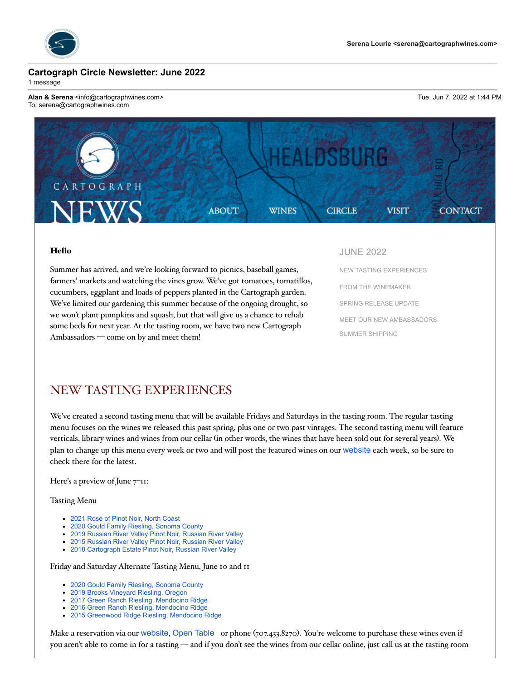

#### **Cartograph Circle Newsletter: June 2022**

1 message

**Alan & Serena** <info@cartographwines.com> Tue, Jun 7, 2022 at 1:44 PM To: serena@cartographwines.com



#### Hello

Summer has arrived, and we're looking forward to picnics, baseball games, farmers' markets and watching the vines grow. We've got tomatoes, tomatillos, cucumbers, eggplant and loads of peppers planted in the Cartograph garden. We've limited our gardening this summer because of the ongoing drought, so we won't plant pumpkins and squash, but that will give us a chance to rehab some beds for next year. At the tasting room, we have two new Cartograph Ambassadors — come on by and meet them!

JUNE 2022

NEW TASTING EXPERIENCES FROM THE WINEMAKER SPRING RELEASE UPDATE MEET OUR NEW AMBASSADORS SUMMER SHIPPING

### NEW TASTING EXPERIENCES

We've created a second tasting menu that will be available Fridays and Saturdays in the tasting room. The regular tasting menu focuses on the wines we released this past spring, plus one or two past vintages. The second tasting menu will feature verticals, library wines and wines from our cellar (in other words, the wines that have been sold out for several years). We plan to change up this menu every week or two and will post the featured wines on our website each week, so be sure to check there for the latest.

Here's a preview of June  $7$ <sup>-11:</sup>

Tasting Menu

- 2021 Rosé of Pinot Noir, North Coast
- 2020 Gould Family Riesling, Sonoma County
- 2019 Russian River Valley Pinot Noir, Russian River Valley
- 2015 Russian River Valley Pinot Noir, Russian River Valley
- 2018 Cartograph Estate Pinot Noir, Russian River Valley

Friday and Saturday Alternate Tasting Menu, June 10 and 11

- 2020 Gould Family Riesling, Sonoma County
- 2019 Brooks Vineyard Riesling, Oregon
- 2017 Green Ranch Riesling, Mendocino Ridge
- 2016 Green Ranch Riesling, Mendocino Ridge
- 2015 Greenwood Ridge Riesling, Mendocino Ridge

Make a reservation via our website, Open Table or phone (707.433.8270). You're welcome to purchase these wines even if you aren't able to come in for a tasting — and if you don't see the wines from our cellar online, just call us at the tasting room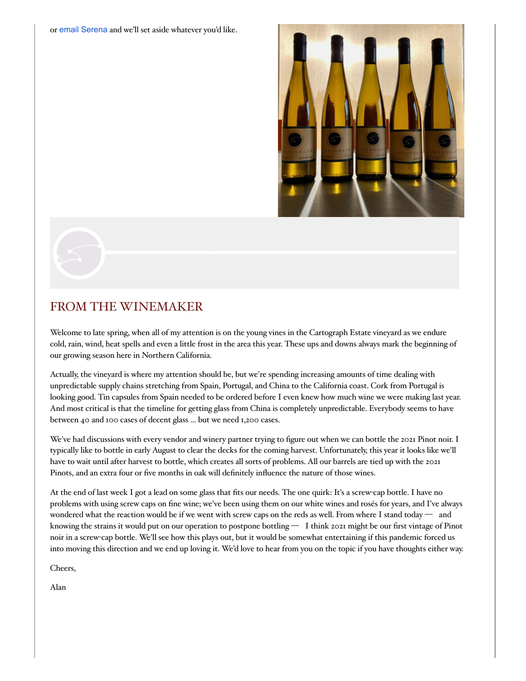or email Serena and we'll set aside whatever you'd like.



# FROM THE WINEMAKER

Welcome to late spring, when all of my attention is on the young vines in the Cartograph Estate vineyard as we endure cold, rain, wind, heat spells and even a little frost in the area this year. These ups and downs always mark the beginning of our growing season here in Northern California.

Actually, the vineyard is where my attention should be, but we're spending increasing amounts of time dealing with unpredictable supply chains stretching from Spain, Portugal, and China to the California coast. Cork from Portugal is looking good. Tin capsules from Spain needed to be ordered before I even knew how much wine we were making last year. And most critical is that the timeline for getting glass from China is completely unpredictable. Everybody seems to have between 40 and 100 cases of decent glass ... but we need 1,200 cases.

We've had discussions with every vendor and winery partner trying to figure out when we can bottle the 2021 Pinot noir. I typically like to bottle in early August to clear the decks for the coming harvest. Unfortunately, this year it looks like we'll have to wait until after harvest to bottle, which creates all sorts of problems. All our barrels are tied up with the 2021 Pinots, and an extra four or five months in oak will definitely influence the nature of those wines.

At the end of last week I got a lead on some glass that fits our needs. The one quirk: It's a screw-cap bottle. I have no problems with using screw caps on fine wine; we've been using them on our white wines and rosés for years, and I've always wondered what the reaction would be if we went with screw caps on the reds as well. From where I stand today — and knowing the strains it would put on our operation to postpone bottling — I think 2021 might be our first vintage of Pinot noir in a screw-cap bottle. We'll see how this plays out, but it would be somewhat entertaining if this pandemic forced us into moving this direction and we end up loving it. We'd love to hear from you on the topic if you have thoughts either way.

Cheers,

Alan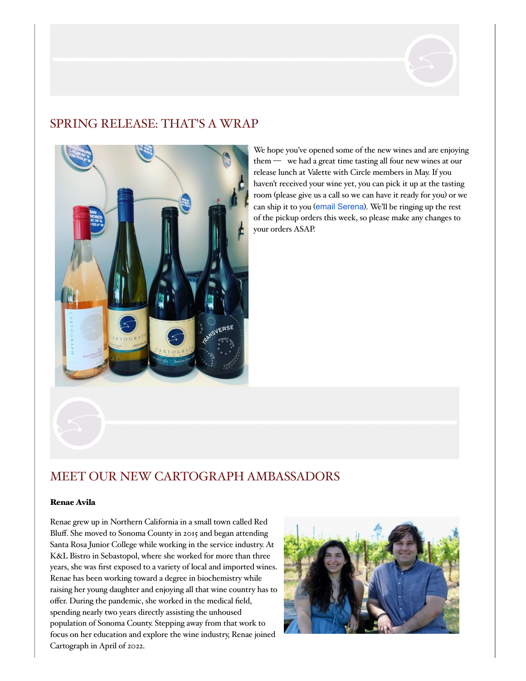

## SPRING RELEASE: THAT'S A WRAP



We hope you've opened some of the new wines and are enjoying them — we had a great time tasting all four new wines at our release lunch at Valette with Circle members in May. If you haven't received your wine yet, you can pick it up at the tasting room (please give us a call so we can have it ready for you) or we can ship it to you (email Serena). We'll be ringing up the rest of the pickup orders this week, so please make any changes to your orders ASAP.

# MEET OUR NEW CARTOGRAPH AMBASSADORS

#### Renae Avila

Renae grew up in Northern California in a small town called Red Bluff. She moved to Sonoma County in 2015 and began attending Santa Rosa Junior College while working in the service industry. At K&L Bistro in Sebastopol, where she worked for more than three years, she was first exposed to a variety of local and imported wines. Renae has been working toward a degree in biochemistry while raising her young daughter and enjoying all that wine country has to offer. During the pandemic, she worked in the medical field, spending nearly two years directly assisting the unhoused population of Sonoma County. Stepping away from that work to focus on her education and explore the wine industry, Renae joined Cartograph in April of 2022.